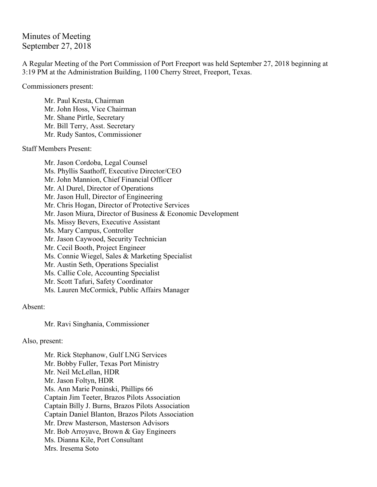Minutes of Meeting September 27, 2018

A Regular Meeting of the Port Commission of Port Freeport was held September 27, 2018 beginning at 3:19 PM at the Administration Building, 1100 Cherry Street, Freeport, Texas.

Commissioners present:

Mr. Paul Kresta, Chairman Mr. John Hoss, Vice Chairman Mr. Shane Pirtle, Secretary Mr. Bill Terry, Asst. Secretary Mr. Rudy Santos, Commissioner

Staff Members Present:

Mr. Jason Cordoba, Legal Counsel Ms. Phyllis Saathoff, Executive Director/CEO Mr. John Mannion, Chief Financial Officer Mr. Al Durel, Director of Operations Mr. Jason Hull, Director of Engineering Mr. Chris Hogan, Director of Protective Services Mr. Jason Miura, Director of Business & Economic Development Ms. Missy Bevers, Executive Assistant Ms. Mary Campus, Controller Mr. Jason Caywood, Security Technician Mr. Cecil Booth, Project Engineer Ms. Connie Wiegel, Sales & Marketing Specialist Mr. Austin Seth, Operations Specialist Ms. Callie Cole, Accounting Specialist Mr. Scott Tafuri, Safety Coordinator Ms. Lauren McCormick, Public Affairs Manager

Absent:

Mr. Ravi Singhania, Commissioner

Also, present:

Mr. Rick Stephanow, Gulf LNG Services Mr. Bobby Fuller, Texas Port Ministry Mr. Neil McLellan, HDR Mr. Jason Foltyn, HDR Ms. Ann Marie Poninski, Phillips 66 Captain Jim Teeter, Brazos Pilots Association Captain Billy J. Burns, Brazos Pilots Association Captain Daniel Blanton, Brazos Pilots Association Mr. Drew Masterson, Masterson Advisors Mr. Bob Arroyave, Brown & Gay Engineers Ms. Dianna Kile, Port Consultant Mrs. Iresema Soto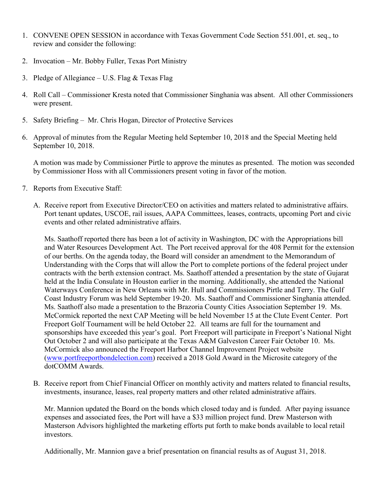- 1. CONVENE OPEN SESSION in accordance with Texas Government Code Section 551.001, et. seq., to review and consider the following:
- 2. Invocation Mr. Bobby Fuller, Texas Port Ministry
- 3. Pledge of Allegiance U.S. Flag  $&$  Texas Flag
- 4. Roll Call Commissioner Kresta noted that Commissioner Singhania was absent. All other Commissioners were present.
- 5. Safety Briefing Mr. Chris Hogan, Director of Protective Services
- 6. Approval of minutes from the Regular Meeting held September 10, 2018 and the Special Meeting held September 10, 2018.

A motion was made by Commissioner Pirtle to approve the minutes as presented. The motion was seconded by Commissioner Hoss with all Commissioners present voting in favor of the motion.

- 7. Reports from Executive Staff:
	- A. Receive report from Executive Director/CEO on activities and matters related to administrative affairs. Port tenant updates, USCOE, rail issues, AAPA Committees, leases, contracts, upcoming Port and civic events and other related administrative affairs.

Ms. Saathoff reported there has been a lot of activity in Washington, DC with the Appropriations bill and Water Resources Development Act. The Port received approval for the 408 Permit for the extension of our berths. On the agenda today, the Board will consider an amendment to the Memorandum of Understanding with the Corps that will allow the Port to complete portions of the federal project under contracts with the berth extension contract. Ms. Saathoff attended a presentation by the state of Gujarat held at the India Consulate in Houston earlier in the morning. Additionally, she attended the National Waterways Conference in New Orleans with Mr. Hull and Commissioners Pirtle and Terry. The Gulf Coast Industry Forum was held September 19-20. Ms. Saathoff and Commissioner Singhania attended. Ms. Saathoff also made a presentation to the Brazoria County Cities Association September 19. Ms. McCormick reported the next CAP Meeting will be held November 15 at the Clute Event Center. Port Freeport Golf Tournament will be held October 22. All teams are full for the tournament and sponsorships have exceeded this year's goal. Port Freeport will participate in Freeport's National Night Out October 2 and will also participate at the Texas A&M Galveston Career Fair October 10. Ms. McCormick also announced the Freeport Harbor Channel Improvement Project website [\(www.portfreeportbondelection.com\)](http://www.portfreeportbondelection.com/) received a 2018 Gold Award in the Microsite category of the dotCOMM Awards.

B. Receive report from Chief Financial Officer on monthly activity and matters related to financial results, investments, insurance, leases, real property matters and other related administrative affairs.

Mr. Mannion updated the Board on the bonds which closed today and is funded. After paying issuance expenses and associated fees, the Port will have a \$33 million project fund. Drew Masterson with Masterson Advisors highlighted the marketing efforts put forth to make bonds available to local retail investors.

Additionally, Mr. Mannion gave a brief presentation on financial results as of August 31, 2018.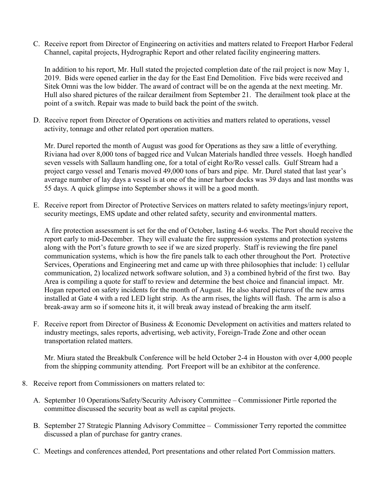C. Receive report from Director of Engineering on activities and matters related to Freeport Harbor Federal Channel, capital projects, Hydrographic Report and other related facility engineering matters.

In addition to his report, Mr. Hull stated the projected completion date of the rail project is now May 1, 2019. Bids were opened earlier in the day for the East End Demolition. Five bids were received and Sitek Omni was the low bidder. The award of contract will be on the agenda at the next meeting. Mr. Hull also shared pictures of the railcar derailment from September 21. The derailment took place at the point of a switch. Repair was made to build back the point of the switch.

D. Receive report from Director of Operations on activities and matters related to operations, vessel activity, tonnage and other related port operation matters.

Mr. Durel reported the month of August was good for Operations as they saw a little of everything. Riviana had over 8,000 tons of bagged rice and Vulcan Materials handled three vessels. Hoegh handled seven vessels with Sallaum handling one, for a total of eight Ro/Ro vessel calls. Gulf Stream had a project cargo vessel and Tenaris moved 49,000 tons of bars and pipe. Mr. Durel stated that last year's average number of lay days a vessel is at one of the inner harbor docks was 39 days and last months was 55 days. A quick glimpse into September shows it will be a good month.

E. Receive report from Director of Protective Services on matters related to safety meetings/injury report, security meetings, EMS update and other related safety, security and environmental matters.

A fire protection assessment is set for the end of October, lasting 4-6 weeks. The Port should receive the report early to mid-December. They will evaluate the fire suppression systems and protection systems along with the Port's future growth to see if we are sized properly. Staff is reviewing the fire panel communication systems, which is how the fire panels talk to each other throughout the Port. Protective Services, Operations and Engineering met and came up with three philosophies that include: 1) cellular communication, 2) localized network software solution, and 3) a combined hybrid of the first two. Bay Area is compiling a quote for staff to review and determine the best choice and financial impact. Mr. Hogan reported on safety incidents for the month of August. He also shared pictures of the new arms installed at Gate 4 with a red LED light strip. As the arm rises, the lights will flash. The arm is also a break-away arm so if someone hits it, it will break away instead of breaking the arm itself.

F. Receive report from Director of Business & Economic Development on activities and matters related to industry meetings, sales reports, advertising, web activity, Foreign-Trade Zone and other ocean transportation related matters.

Mr. Miura stated the Breakbulk Conference will be held October 2-4 in Houston with over 4,000 people from the shipping community attending. Port Freeport will be an exhibitor at the conference.

- 8. Receive report from Commissioners on matters related to:
	- A. September 10 Operations/Safety/Security Advisory Committee Commissioner Pirtle reported the committee discussed the security boat as well as capital projects.
	- B. September 27 Strategic Planning Advisory Committee Commissioner Terry reported the committee discussed a plan of purchase for gantry cranes.
	- C. Meetings and conferences attended, Port presentations and other related Port Commission matters.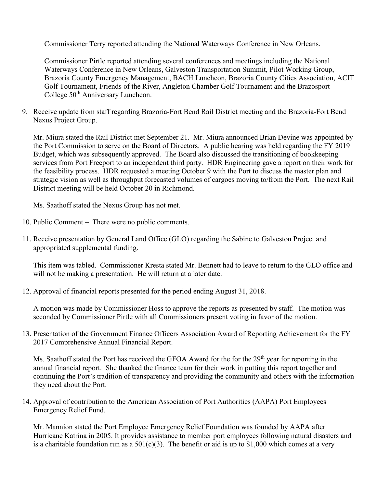Commissioner Terry reported attending the National Waterways Conference in New Orleans.

Commissioner Pirtle reported attending several conferences and meetings including the National Waterways Conference in New Orleans, Galveston Transportation Summit, Pilot Working Group, Brazoria County Emergency Management, BACH Luncheon, Brazoria County Cities Association, ACIT Golf Tournament, Friends of the River, Angleton Chamber Golf Tournament and the Brazosport College 50<sup>th</sup> Anniversary Luncheon.

9. Receive update from staff regarding Brazoria-Fort Bend Rail District meeting and the Brazoria-Fort Bend Nexus Project Group.

Mr. Miura stated the Rail District met September 21. Mr. Miura announced Brian Devine was appointed by the Port Commission to serve on the Board of Directors. A public hearing was held regarding the FY 2019 Budget, which was subsequently approved. The Board also discussed the transitioning of bookkeeping services from Port Freeport to an independent third party. HDR Engineering gave a report on their work for the feasibility process. HDR requested a meeting October 9 with the Port to discuss the master plan and strategic vision as well as throughput forecasted volumes of cargoes moving to/from the Port. The next Rail District meeting will be held October 20 in Richmond.

Ms. Saathoff stated the Nexus Group has not met.

- 10. Public Comment There were no public comments.
- 11. Receive presentation by General Land Office (GLO) regarding the Sabine to Galveston Project and appropriated supplemental funding.

This item was tabled. Commissioner Kresta stated Mr. Bennett had to leave to return to the GLO office and will not be making a presentation. He will return at a later date.

12. Approval of financial reports presented for the period ending August 31, 2018.

A motion was made by Commissioner Hoss to approve the reports as presented by staff. The motion was seconded by Commissioner Pirtle with all Commissioners present voting in favor of the motion.

13. Presentation of the Government Finance Officers Association Award of Reporting Achievement for the FY 2017 Comprehensive Annual Financial Report.

Ms. Saathoff stated the Port has received the GFOA Award for the for the 29<sup>th</sup> year for reporting in the annual financial report. She thanked the finance team for their work in putting this report together and continuing the Port's tradition of transparency and providing the community and others with the information they need about the Port.

14. Approval of contribution to the American Association of Port Authorities (AAPA) Port Employees Emergency Relief Fund.

Mr. Mannion stated the Port Employee Emergency Relief Foundation was founded by AAPA after Hurricane Katrina in 2005. It provides assistance to member port employees following natural disasters and is a charitable foundation run as a  $501(c)(3)$ . The benefit or aid is up to \$1,000 which comes at a very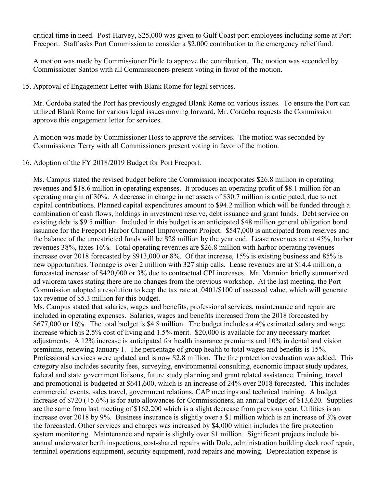critical time in need. Post-Harvey, \$25,000 was given to Gulf Coast port employees including some at Port Freeport. Staff asks Port Commission to consider a \$2,000 contribution to the emergency relief fund.

A motion was made by Commissioner Pirtle to approve the contribution. The motion was seconded by Commissioner Santos with all Commissioners present voting in favor of the motion.

15. Approval of Engagement Letter with Blank Rome for legal services.

Mr. Cordoba stated the Port has previously engaged Blank Rome on various issues. To ensure the Port can utilized Blank Rome for various legal issues moving forward, Mr. Cordoba requests the Commission approve this engagement letter for services.

A motion was made by Commissioner Hoss to approve the services. The motion was seconded by Commissioner Terry with all Commissioners present voting in favor of the motion.

16. Adoption of the FY 2018/2019 Budget for Port Freeport.

Ms. Campus stated the revised budget before the Commission incorporates \$26.8 million in operating revenues and \$18.6 million in operating expenses. It produces an operating profit of \$8.1 million for an operating margin of 30%. A decrease in change in net assets of \$30.7 million is anticipated, due to net capital contributions. Planned capital expenditures amount to \$94.2 million which will be funded through a combination of cash flows, holdings in investment reserve, debt issuance and grant funds. Debt service on existing debt is \$9.5 million. Included in this budget is an anticipated \$48 million general obligation bond issuance for the Freeport Harbor Channel Improvement Project. \$547,000 is anticipated from reserves and the balance of the unrestricted funds will be \$28 million by the year end. Lease revenues are at 45%, harbor revenues 38%, taxes 16%. Total operating revenues are \$26.8 million with harbor operating revenues increase over 2018 forecasted by \$913,000 or 8%. Of that increase, 15% is existing business and 85% is new opportunities. Tonnage is over 2 million with 327 ship calls. Lease revenues are at \$14.4 million, a forecasted increase of \$420,000 or 3% due to contractual CPI increases. Mr. Mannion briefly summarized ad valorem taxes stating there are no changes from the previous workshop. At the last meeting, the Port Commission adopted a resolution to keep the tax rate at .0401/\$100 of assessed value, which will generate tax revenue of \$5.3 million for this budget.

Ms. Campus stated that salaries, wages and benefits, professional services, maintenance and repair are included in operating expenses. Salaries, wages and benefits increased from the 2018 forecasted by \$677,000 or 16%. The total budget is \$4.8 million. The budget includes a 4% estimated salary and wage increase which is 2.5% cost of living and 1.5% merit. \$20,000 is available for any necessary market adjustments. A 12% increase is anticipated for health insurance premiums and 10% in dental and vision premiums, renewing January 1. The percentage of group health to total wages and benefits is 15%. Professional services were updated and is now \$2.8 million. The fire protection evaluation was added. This category also includes security fees, surveying, environmental consulting, economic impact study updates, federal and state government liaisons, future study planning and grant related assistance. Training, travel and promotional is budgeted at \$641,600, which is an increase of 24% over 2018 forecasted. This includes commercial events, sales travel, government relations, CAP meetings and technical training. A budget increase of \$720 (+5.6%) is for auto allowances for Commissioners, an annual budget of \$13,620. Supplies are the same from last meeting of \$162,200 which is a slight decrease from previous year. Utilities is an increase over 2018 by 9%. Business insurance is slightly over a \$1 million which is an increase of 3% over the forecasted. Other services and charges was increased by \$4,000 which includes the fire protection system monitoring. Maintenance and repair is slightly over \$1 million. Significant projects include biannual underwater berth inspections, cost-shared repairs with Dole, administration building deck roof repair, terminal operations equipment, security equipment, road repairs and mowing. Depreciation expense is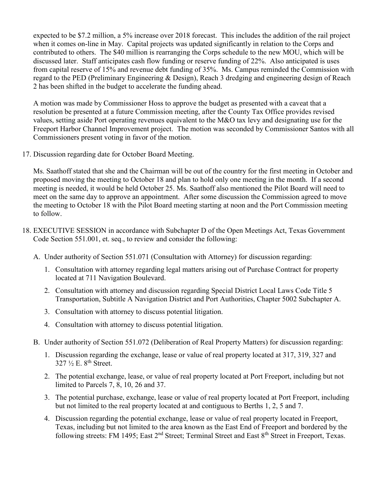expected to be \$7.2 million, a 5% increase over 2018 forecast. This includes the addition of the rail project when it comes on-line in May. Capital projects was updated significantly in relation to the Corps and contributed to others. The \$40 million is rearranging the Corps schedule to the new MOU, which will be discussed later. Staff anticipates cash flow funding or reserve funding of 22%. Also anticipated is uses from capital reserve of 15% and revenue debt funding of 35%. Ms. Campus reminded the Commission with regard to the PED (Preliminary Engineering & Design), Reach 3 dredging and engineering design of Reach 2 has been shifted in the budget to accelerate the funding ahead.

A motion was made by Commissioner Hoss to approve the budget as presented with a caveat that a resolution be presented at a future Commission meeting, after the County Tax Office provides revised values, setting aside Port operating revenues equivalent to the M&O tax levy and designating use for the Freeport Harbor Channel Improvement project. The motion was seconded by Commissioner Santos with all Commissioners present voting in favor of the motion.

17. Discussion regarding date for October Board Meeting.

Ms. Saathoff stated that she and the Chairman will be out of the country for the first meeting in October and proposed moving the meeting to October 18 and plan to hold only one meeting in the month. If a second meeting is needed, it would be held October 25. Ms. Saathoff also mentioned the Pilot Board will need to meet on the same day to approve an appointment. After some discussion the Commission agreed to move the meeting to October 18 with the Pilot Board meeting starting at noon and the Port Commission meeting to follow.

- 18. EXECUTIVE SESSION in accordance with Subchapter D of the Open Meetings Act, Texas Government Code Section 551.001, et. seq., to review and consider the following:
	- A. Under authority of Section 551.071 (Consultation with Attorney) for discussion regarding:
		- 1. Consultation with attorney regarding legal matters arising out of Purchase Contract for property located at 711 Navigation Boulevard.
		- 2. Consultation with attorney and discussion regarding Special District Local Laws Code Title 5 Transportation, Subtitle A Navigation District and Port Authorities, Chapter 5002 Subchapter A.
		- 3. Consultation with attorney to discuss potential litigation.
		- 4. Consultation with attorney to discuss potential litigation.
	- B. Under authority of Section 551.072 (Deliberation of Real Property Matters) for discussion regarding:
		- 1. Discussion regarding the exchange, lease or value of real property located at 317, 319, 327 and  $327 \frac{1}{2}$  E.  $8^{th}$  Street.
		- 2. The potential exchange, lease, or value of real property located at Port Freeport, including but not limited to Parcels 7, 8, 10, 26 and 37.
		- 3. The potential purchase, exchange, lease or value of real property located at Port Freeport, including but not limited to the real property located at and contiguous to Berths 1, 2, 5 and 7.
		- 4. Discussion regarding the potential exchange, lease or value of real property located in Freeport, Texas, including but not limited to the area known as the East End of Freeport and bordered by the following streets: FM 1495; East 2<sup>nd</sup> Street; Terminal Street and East 8<sup>th</sup> Street in Freeport, Texas.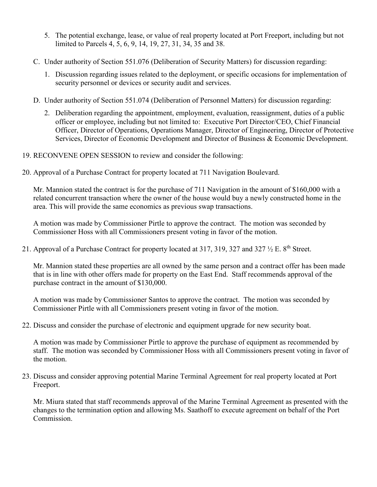- 5. The potential exchange, lease, or value of real property located at Port Freeport, including but not limited to Parcels 4, 5, 6, 9, 14, 19, 27, 31, 34, 35 and 38.
- C. Under authority of Section 551.076 (Deliberation of Security Matters) for discussion regarding:
	- 1. Discussion regarding issues related to the deployment, or specific occasions for implementation of security personnel or devices or security audit and services.
- D. Under authority of Section 551.074 (Deliberation of Personnel Matters) for discussion regarding:
	- 2. Deliberation regarding the appointment, employment, evaluation, reassignment, duties of a public officer or employee, including but not limited to: Executive Port Director/CEO, Chief Financial Officer, Director of Operations, Operations Manager, Director of Engineering, Director of Protective Services, Director of Economic Development and Director of Business & Economic Development.
- 19. RECONVENE OPEN SESSION to review and consider the following:
- 20. Approval of a Purchase Contract for property located at 711 Navigation Boulevard.

Mr. Mannion stated the contract is for the purchase of 711 Navigation in the amount of \$160,000 with a related concurrent transaction where the owner of the house would buy a newly constructed home in the area. This will provide the same economics as previous swap transactions.

A motion was made by Commissioner Pirtle to approve the contract. The motion was seconded by Commissioner Hoss with all Commissioners present voting in favor of the motion.

21. Approval of a Purchase Contract for property located at 317, 319, 327 and 327  $\frac{1}{2}$  E. 8<sup>th</sup> Street.

Mr. Mannion stated these properties are all owned by the same person and a contract offer has been made that is in line with other offers made for property on the East End. Staff recommends approval of the purchase contract in the amount of \$130,000.

A motion was made by Commissioner Santos to approve the contract. The motion was seconded by Commissioner Pirtle with all Commissioners present voting in favor of the motion.

22. Discuss and consider the purchase of electronic and equipment upgrade for new security boat.

A motion was made by Commissioner Pirtle to approve the purchase of equipment as recommended by staff. The motion was seconded by Commissioner Hoss with all Commissioners present voting in favor of the motion.

23. Discuss and consider approving potential Marine Terminal Agreement for real property located at Port Freeport.

Mr. Miura stated that staff recommends approval of the Marine Terminal Agreement as presented with the changes to the termination option and allowing Ms. Saathoff to execute agreement on behalf of the Port Commission.